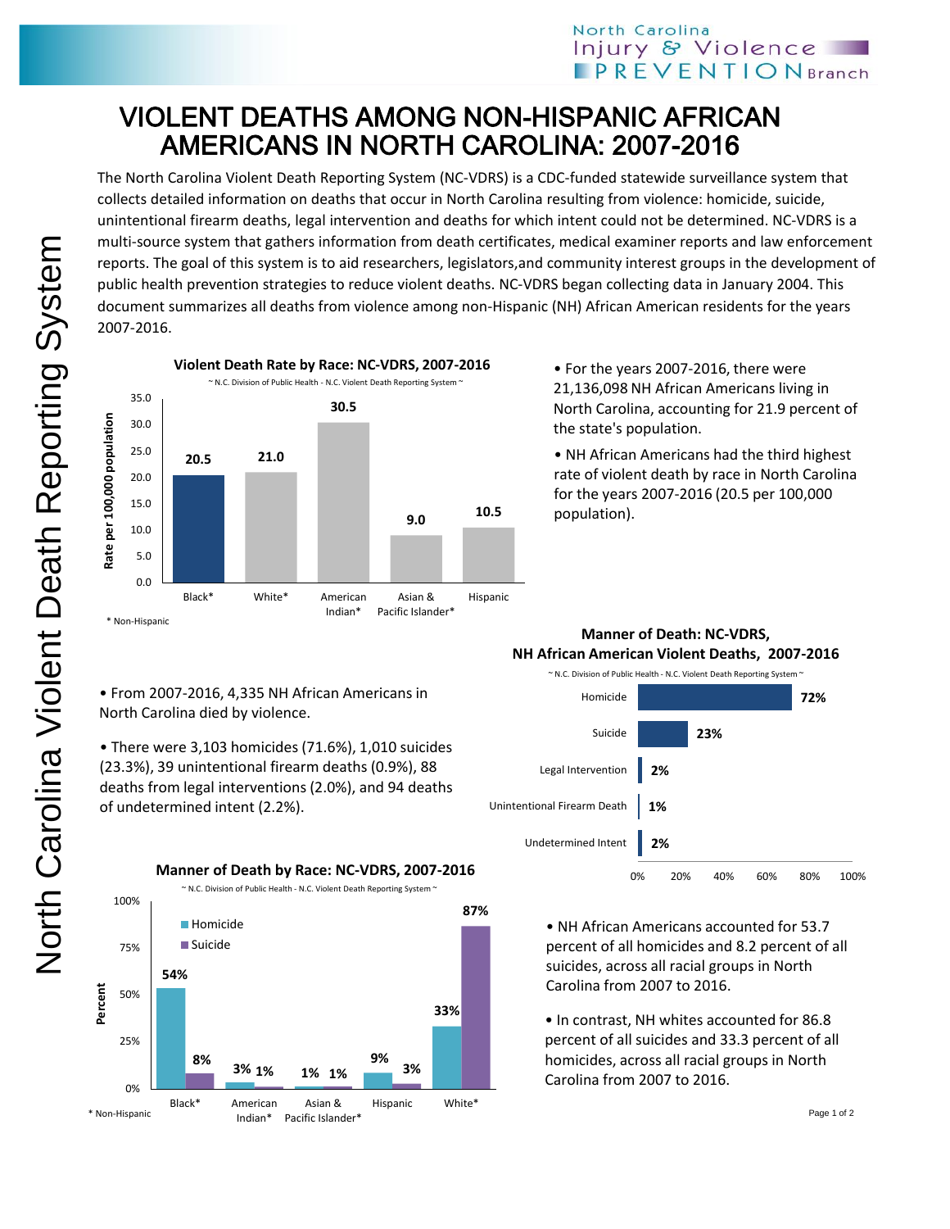# VIOLENT DEATHS AMONG NON-HISPANIC AFRICAN AMERICANS IN NORTH CAROLINA: 2007-2016

The North Carolina Violent Death Reporting System (NC-VDRS) is a CDC-funded statewide surveillance system that collects detailed information on deaths that occur in North Carolina resulting from violence: homicide, suicide, unintentional firearm deaths, legal intervention and deaths for which intent could not be determined. NC-VDRS is a multi-source system that gathers information from death certificates, medical examiner reports and law enforcement reports. The goal of this system is to aid researchers, legislators,and community interest groups in the development of public health prevention strategies to reduce violent deaths. NC-VDRS began collecting data in January 2004. This document summarizes all deaths from violence among non-Hispanic (NH) African American residents for the years 2007-2016.



• For the years 2007-2016, there were 21,136,098 NH African Americans living in North Carolina, accounting for 21.9 percent of the state's population.

• NH African Americans had the third highest rate of violent death by race in North Carolina for the years 2007-2016 (20.5 per 100,000 population).

## • From 2007-2016, 4,335 NH African Americans in North Carolina died by violence.

• There were 3,103 homicides (71.6%), 1,010 suicides (23.3%), 39 unintentional firearm deaths (0.9%), 88 deaths from legal interventions (2.0%), and 94 deaths of undetermined intent (2.2%).

**54% 3% 1% 9% 33% 8% 1% 1% 3% 87%** 0% 25% 50% 75% 100% Black\* American Indian\* Asian & Pacific Islander\* Hispanic White\* **Homicide Suicide** ~ N.C. Division of Public Health - N.C. Violent Death Reporting System ~ **Manner of Death by Race: NC-VDRS, 2007-2016 Percent** \* Non-Hispanic

### ~ N.C. Division of Public Health - N.C. Violent Death Reporting System ~ **Manner of Death: NC-VDRS, NH African American Violent Deaths, 2007-2016**



- NH African Americans accounted for 53.7 percent of all homicides and 8.2 percent of all suicides, across all racial groups in North Carolina from 2007 to 2016.
- In contrast, NH whites accounted for 86.8 percent of all suicides and 33.3 percent of all homicides, across all racial groups in North Carolina from 2007 to 2016.